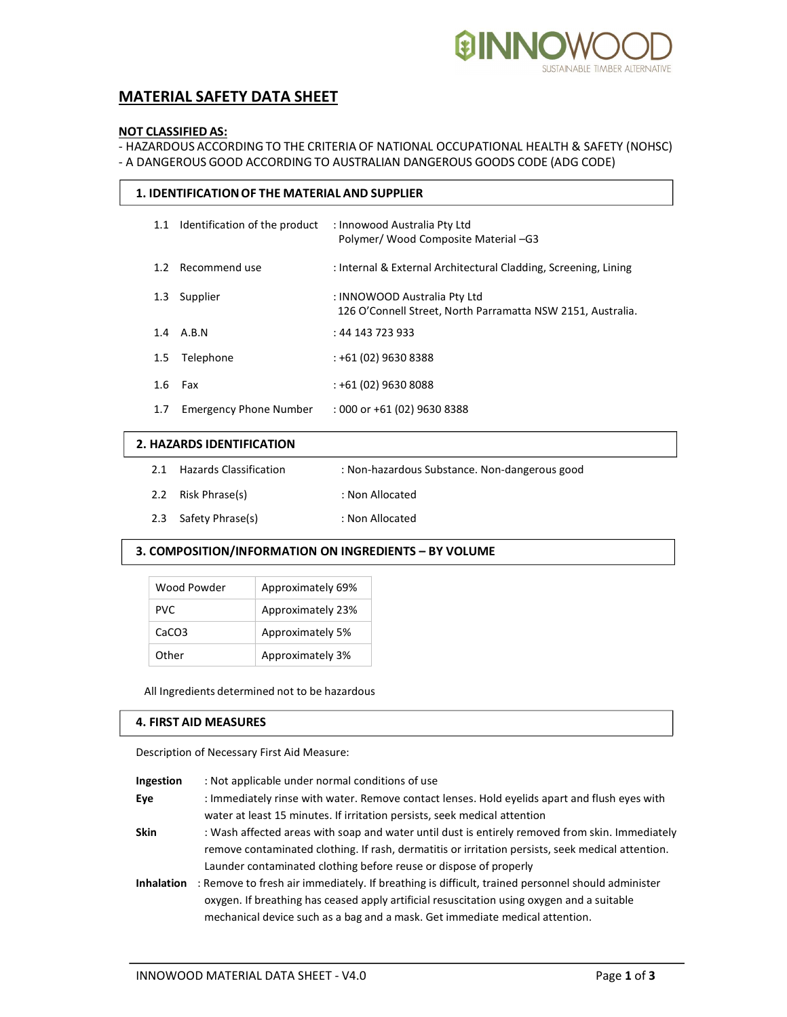

# MATERIAL SAFETY DATA SHEET

# NOT CLASSIFIED AS:

- HAZARDOUS ACCORDING TO THE CRITERIA OF NATIONAL OCCUPATIONAL HEALTH & SAFETY (NOHSC) - A DANGEROUS GOOD ACCORDING TO AUSTRALIAN DANGEROUS GOODS CODE (ADG CODE)

| 1. IDENTIFICATION OF THE MATERIAL AND SUPPLIER |                               |                                                                                             |  |  |  |
|------------------------------------------------|-------------------------------|---------------------------------------------------------------------------------------------|--|--|--|
| 1.1                                            | Identification of the product | : Innowood Australia Pty Ltd<br>Polymer/ Wood Composite Material -G3                        |  |  |  |
| 1.2 <sub>1</sub>                               | Recommend use                 | : Internal & External Architectural Cladding, Screening, Lining                             |  |  |  |
| 1.3                                            | Supplier                      | : INNOWOOD Australia Pty Ltd<br>126 O'Connell Street, North Parramatta NSW 2151, Australia. |  |  |  |
|                                                | 1.4 A.B.N                     | : 44 143 723 933                                                                            |  |  |  |
| $1.5\phantom{0}$                               | Telephone                     | $: +61(02)96308388$                                                                         |  |  |  |
| 1.6                                            | Fax                           | $: +61(02)9630808$                                                                          |  |  |  |
| 1.7                                            | <b>Emergency Phone Number</b> | $:000$ or +61 (02) 9630 8388                                                                |  |  |  |

# 2. HAZARDS IDENTIFICATION

|  | 2.1 Hazards Classification | : Non-hazardous Substance. Non-dangerous good |
|--|----------------------------|-----------------------------------------------|
|--|----------------------------|-----------------------------------------------|

- 2.2 Risk Phrase(s) : Non Allocated
- 2.3 Safety Phrase(s) : Non Allocated

# 3. COMPOSITION/INFORMATION ON INGREDIENTS – BY VOLUME

| Wood Powder       | Approximately 69% |
|-------------------|-------------------|
| <b>PVC</b>        | Approximately 23% |
| CaCO <sub>3</sub> | Approximately 5%  |
| Other             | Approximately 3%  |

All Ingredients determined not to be hazardous

# 4. FIRST AID MEASURES

Description of Necessary First Aid Measure:

| Ingestion | : Not applicable under normal conditions of use |  |
|-----------|-------------------------------------------------|--|
|-----------|-------------------------------------------------|--|

Eye : Immediately rinse with water. Remove contact lenses. Hold eyelids apart and flush eyes with water at least 15 minutes. If irritation persists, seek medical attention

Skin : Wash affected areas with soap and water until dust is entirely removed from skin. Immediately remove contaminated clothing. If rash, dermatitis or irritation persists, seek medical attention. Launder contaminated clothing before reuse or dispose of properly

Inhalation : Remove to fresh air immediately. If breathing is difficult, trained personnel should administer oxygen. If breathing has ceased apply artificial resuscitation using oxygen and a suitable mechanical device such as a bag and a mask. Get immediate medical attention.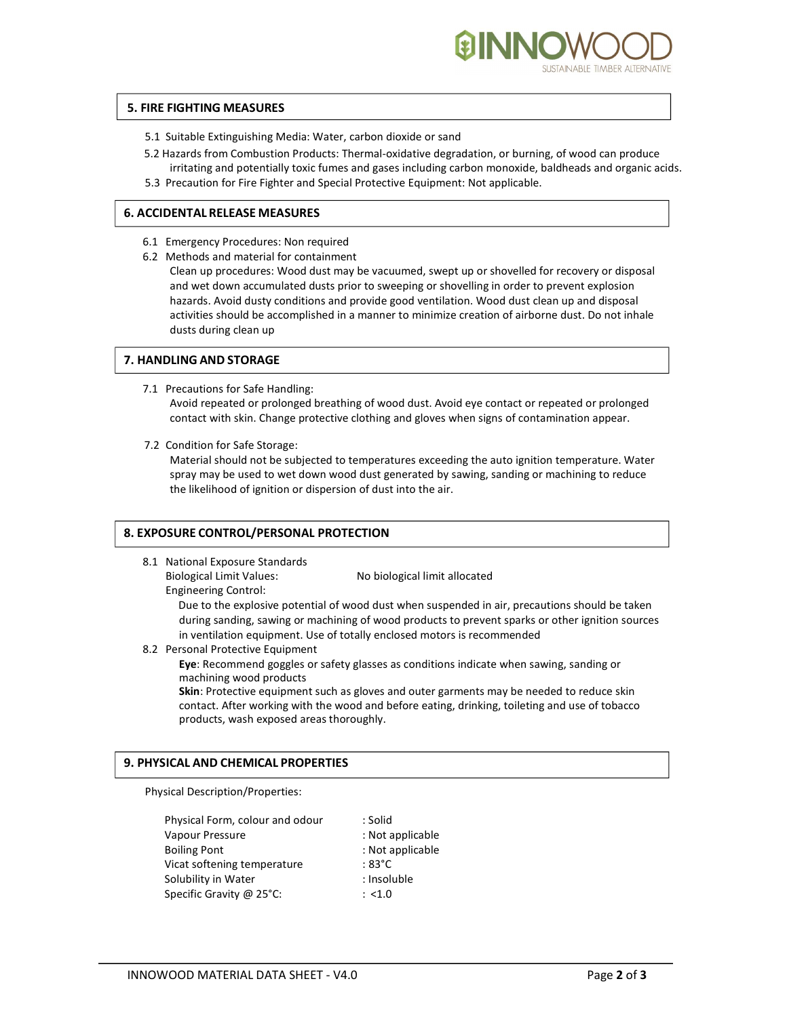

# 5. FIRE FIGHTING MEASURES

- 5.1 Suitable Extinguishing Media: Water, carbon dioxide or sand
- 5.2 Hazards from Combustion Products: Thermal-oxidative degradation, or burning, of wood can produce irritating and potentially toxic fumes and gases including carbon monoxide, baldheads and organic acids.
- 5.3 Precaution for Fire Fighter and Special Protective Equipment: Not applicable.

#### 6. ACCIDENTAL RELEASE MEASURES

- 6.1 Emergency Procedures: Non required
- 6.2 Methods and material for containment
	- Clean up procedures: Wood dust may be vacuumed, swept up or shovelled for recovery or disposal and wet down accumulated dusts prior to sweeping or shovelling in order to prevent explosion hazards. Avoid dusty conditions and provide good ventilation. Wood dust clean up and disposal activities should be accomplished in a manner to minimize creation of airborne dust. Do not inhale dusts during clean up

# 7. HANDLING AND STORAGE

7.1 Precautions for Safe Handling:

Avoid repeated or prolonged breathing of wood dust. Avoid eye contact or repeated or prolonged contact with skin. Change protective clothing and gloves when signs of contamination appear.

7.2 Condition for Safe Storage:

Material should not be subjected to temperatures exceeding the auto ignition temperature. Water spray may be used to wet down wood dust generated by sawing, sanding or machining to reduce the likelihood of ignition or dispersion of dust into the air.

# 8. EXPOSURE CONTROL/PERSONAL PROTECTION

8.1 National Exposure Standards Biological Limit Values: No biological limit allocated

Engineering Control:

Due to the explosive potential of wood dust when suspended in air, precautions should be taken during sanding, sawing or machining of wood products to prevent sparks or other ignition sources in ventilation equipment. Use of totally enclosed motors is recommended

8.2 Personal Protective Equipment

Eye: Recommend goggles or safety glasses as conditions indicate when sawing, sanding or machining wood products

Skin: Protective equipment such as gloves and outer garments may be needed to reduce skin contact. After working with the wood and before eating, drinking, toileting and use of tobacco products, wash exposed areas thoroughly.

# 9. PHYSICAL AND CHEMICAL PROPERTIES

Physical Description/Properties:

Physical Form, colour and odour : Solid Vapour Pressure : Not applicable Boiling Pont : Not applicable Vicat softening temperature : 83°C Solubility in Water : Insoluble Specific Gravity @ 25°C:  $\qquad \qquad$  : <1.0